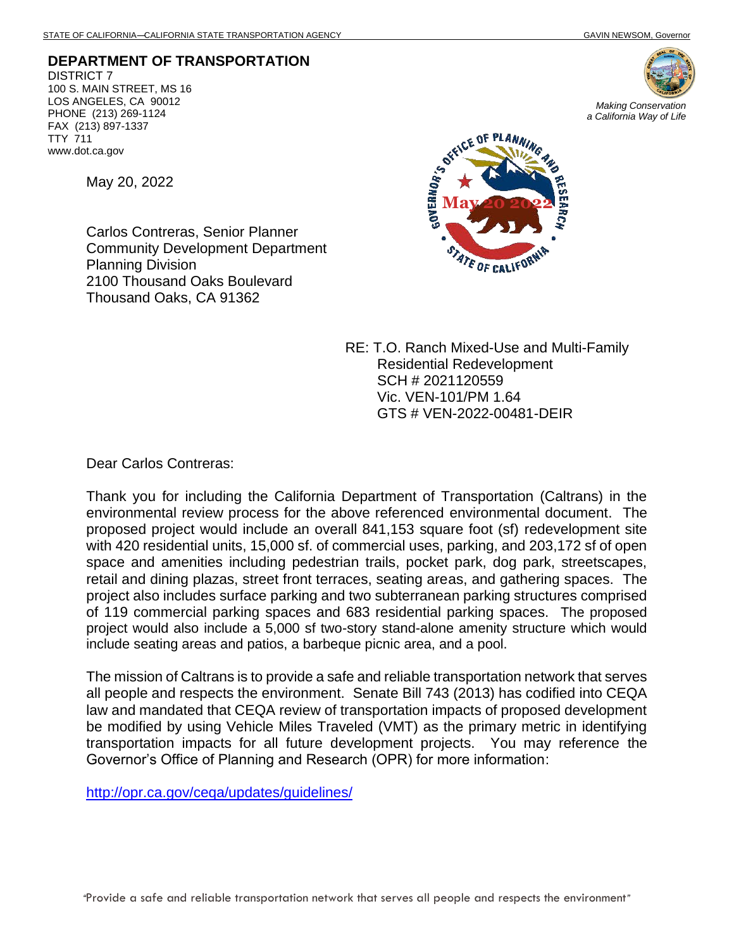**DEPARTMENT OF TRANSPORTATION** DISTRICT 7 100 S. MAIN STREET, MS 16 LOS ANGELES, CA 90012 PHONE (213) 269-1124 FAX (213) 897-1337 TTY 711 www.dot.ca.gov

May 20, 2022

Carlos Contreras, Senior Planner Community Development Department Planning Division 2100 Thousand Oaks Boulevard Thousand Oaks, CA 91362





RE: T.O. Ranch Mixed-Use and Multi-Family Residential Redevelopment SCH # 2021120559 Vic. VEN-101/PM 1.64 GTS # VEN-2022-00481-DEIR

Dear Carlos Contreras:

Thank you for including the California Department of Transportation (Caltrans) in the environmental review process for the above referenced environmental document. The proposed project would include an overall 841,153 square foot (sf) redevelopment site with 420 residential units, 15,000 sf. of commercial uses, parking, and 203,172 sf of open space and amenities including pedestrian trails, pocket park, dog park, streetscapes, retail and dining plazas, street front terraces, seating areas, and gathering spaces. The project also includes surface parking and two subterranean parking structures comprised of 119 commercial parking spaces and 683 residential parking spaces. The proposed project would also include a 5,000 sf two-story stand-alone amenity structure which would include seating areas and patios, a barbeque picnic area, and a pool.

The mission of Caltrans is to provide a safe and reliable transportation network that serves all people and respects the environment. Senate Bill 743 (2013) has codified into CEQA law and mandated that CEQA review of transportation impacts of proposed development be modified by using Vehicle Miles Traveled (VMT) as the primary metric in identifying transportation impacts for all future development projects. You may reference the Governor's Office of Planning and Research (OPR) for more information:

<http://opr.ca.gov/ceqa/updates/guidelines/>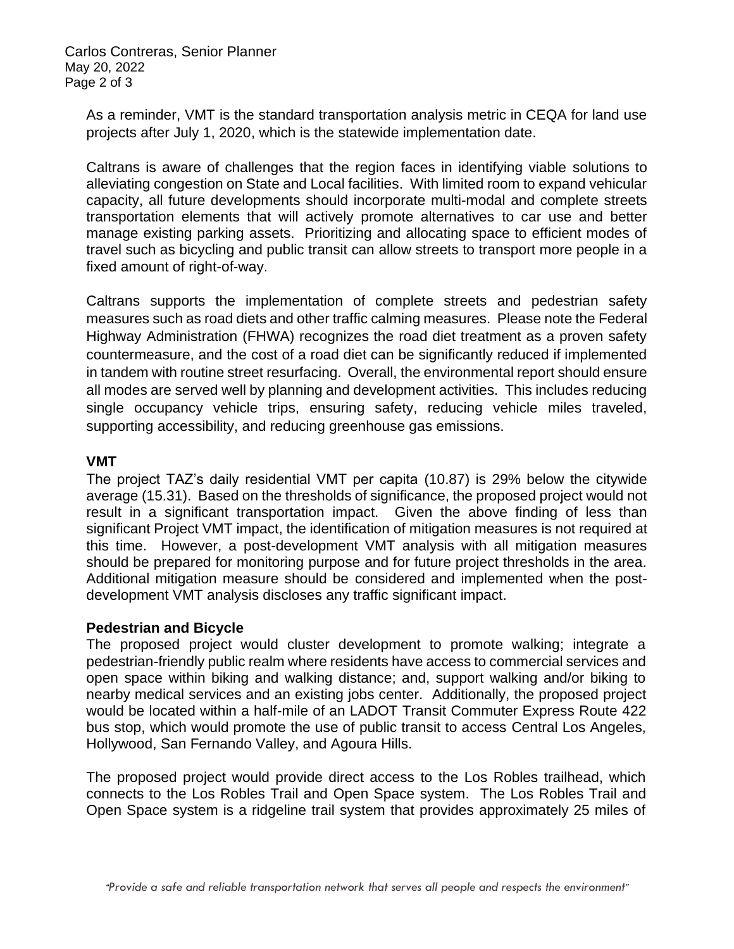Carlos Contreras, Senior Planner May 20, 2022 Page 2 of 3

As a reminder, VMT is the standard transportation analysis metric in CEQA for land use projects after July 1, 2020, which is the statewide implementation date.

Caltrans is aware of challenges that the region faces in identifying viable solutions to alleviating congestion on State and Local facilities. With limited room to expand vehicular capacity, all future developments should incorporate multi-modal and complete streets transportation elements that will actively promote alternatives to car use and better manage existing parking assets. Prioritizing and allocating space to efficient modes of travel such as bicycling and public transit can allow streets to transport more people in a fixed amount of right-of-way.

Caltrans supports the implementation of complete streets and pedestrian safety measures such as road diets and other traffic calming measures. Please note the Federal Highway Administration (FHWA) recognizes the road diet treatment as a proven safety countermeasure, and the cost of a road diet can be significantly reduced if implemented in tandem with routine street resurfacing. Overall, the environmental report should ensure all modes are served well by planning and development activities. This includes reducing single occupancy vehicle trips, ensuring safety, reducing vehicle miles traveled, supporting accessibility, and reducing greenhouse gas emissions.

## **VMT**

The project TAZ's daily residential VMT per capita (10.87) is 29% below the citywide average (15.31). Based on the thresholds of significance, the proposed project would not result in a significant transportation impact. Given the above finding of less than significant Project VMT impact, the identification of mitigation measures is not required at this time. However, a post-development VMT analysis with all mitigation measures should be prepared for monitoring purpose and for future project thresholds in the area. Additional mitigation measure should be considered and implemented when the postdevelopment VMT analysis discloses any traffic significant impact.

## **Pedestrian and Bicycle**

The proposed project would cluster development to promote walking; integrate a pedestrian-friendly public realm where residents have access to commercial services and open space within biking and walking distance; and, support walking and/or biking to nearby medical services and an existing jobs center. Additionally, the proposed project would be located within a half-mile of an LADOT Transit Commuter Express Route 422 bus stop, which would promote the use of public transit to access Central Los Angeles, Hollywood, San Fernando Valley, and Agoura Hills.

The proposed project would provide direct access to the Los Robles trailhead, which connects to the Los Robles Trail and Open Space system. The Los Robles Trail and Open Space system is a ridgeline trail system that provides approximately 25 miles of